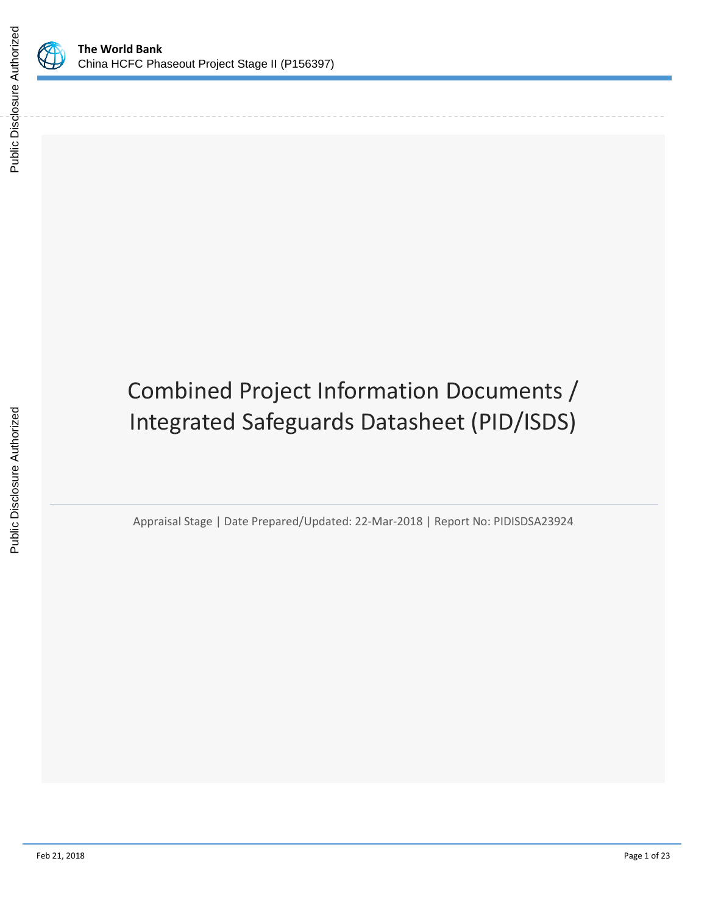

Public Disclosure Authorized

Public Disclosure Authorized

# Combined Project Information Documents / Integrated Safeguards Datasheet (PID/ISDS)

Appraisal Stage | Date Prepared/Updated: 22-Mar-2018 | Report No: PIDISDSA23924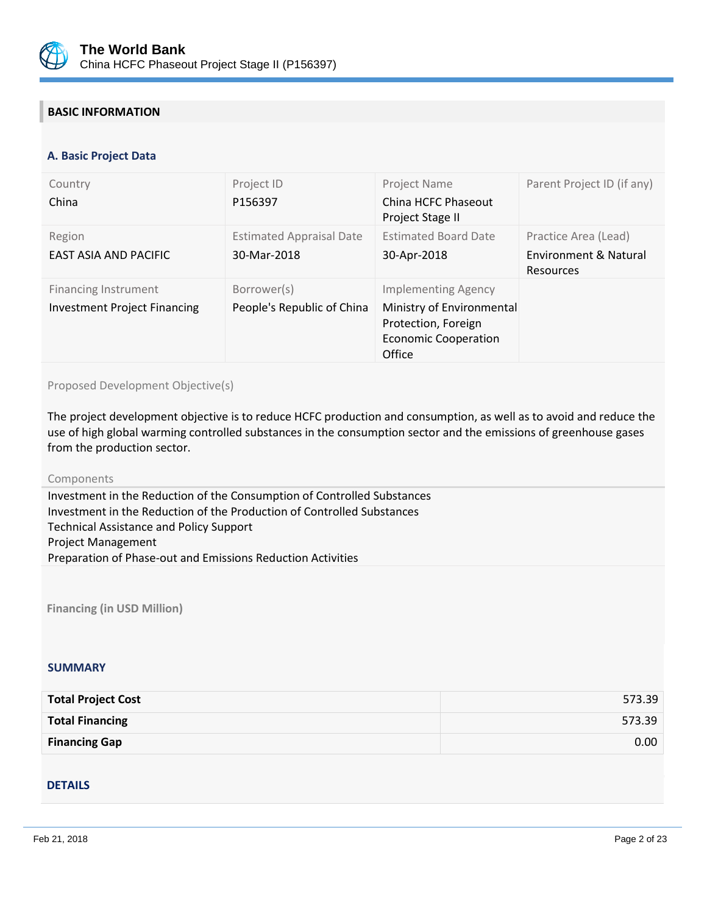

# **BASIC INFORMATION**

#### **OPS\_TABLE\_BASIC\_DATA A. Basic Project Data**

| Country<br>China                                                   | Project ID<br>P156397                          | Project Name<br>China HCFC Phaseout<br>Project Stage II                                                                 | Parent Project ID (if any)                                 |
|--------------------------------------------------------------------|------------------------------------------------|-------------------------------------------------------------------------------------------------------------------------|------------------------------------------------------------|
| Region<br><b>EAST ASIA AND PACIFIC</b>                             | <b>Estimated Appraisal Date</b><br>30-Mar-2018 | <b>Estimated Board Date</b><br>30-Apr-2018                                                                              | Practice Area (Lead)<br>Environment & Natural<br>Resources |
| <b>Financing Instrument</b><br><b>Investment Project Financing</b> | Borrower(s)<br>People's Republic of China      | <b>Implementing Agency</b><br>Ministry of Environmental<br>Protection, Foreign<br><b>Economic Cooperation</b><br>Office |                                                            |

Proposed Development Objective(s)

The project development objective is to reduce HCFC production and consumption, as well as to avoid and reduce the use of high global warming controlled substances in the consumption sector and the emissions of greenhouse gases from the production sector.

#### Components

Investment in the Reduction of the Consumption of Controlled Substances Investment in the Reduction of the Production of Controlled Substances Technical Assistance and Policy Support Project Management Preparation of Phase-out and Emissions Reduction Activities

**Financing (in USD Million)**

#### **SUMMARY**

| <b>Total Project Cost</b> | 573.39            |
|---------------------------|-------------------|
| <b>Total Financing</b>    | 573.39            |
| <b>Financing Gap</b>      | 0.00 <sub>1</sub> |

#### DETAILS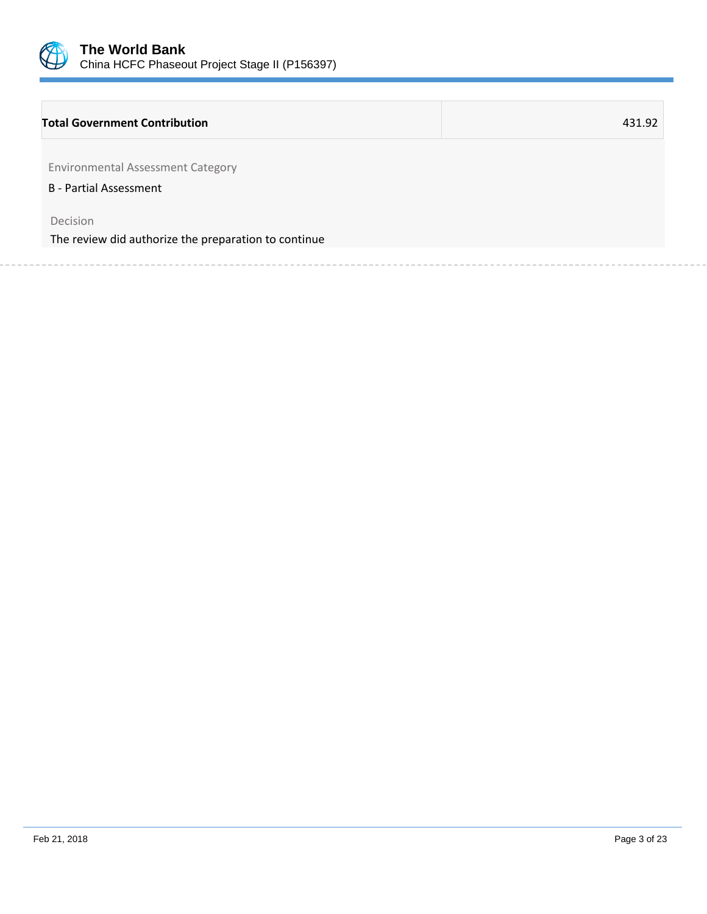

## **Total Government Contribution** 431.92

Environmental Assessment Category

B - Partial Assessment

Decision

The review did authorize the preparation to continue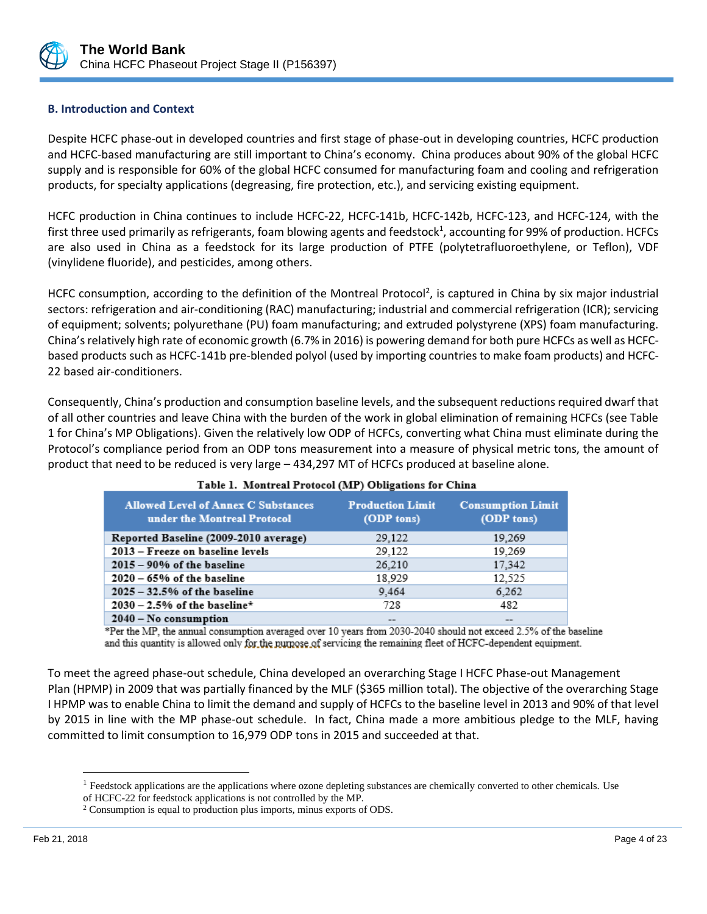

# **B. Introduction and Context**

Despite HCFC phase-out in developed countries and first stage of phase-out in developing countries, HCFC production and HCFC-based manufacturing are still important to China's economy. China produces about 90% of the global HCFC supply and is responsible for 60% of the global HCFC consumed for manufacturing foam and cooling and refrigeration products, for specialty applications (degreasing, fire protection, etc.), and servicing existing equipment.

HCFC production in China continues to include HCFC-22, HCFC-141b, HCFC-142b, HCFC-123, and HCFC-124, with the first three used primarily as refrigerants, foam blowing agents and feedstock<sup>1</sup>, accounting for 99% of production. HCFCs are also used in China as a feedstock for its large production of PTFE (polytetrafluoroethylene, or Teflon), VDF (vinylidene fluoride), and pesticides, among others.

HCFC consumption, according to the definition of the Montreal Protocol<sup>2</sup>, is captured in China by six major industrial sectors: refrigeration and air-conditioning (RAC) manufacturing; industrial and commercial refrigeration (ICR); servicing of equipment; solvents; polyurethane (PU) foam manufacturing; and extruded polystyrene (XPS) foam manufacturing. China's relatively high rate of economic growth (6.7% in 2016) is powering demand for both pure HCFCs as well as HCFCbased products such as HCFC-141b pre-blended polyol (used by importing countries to make foam products) and HCFC-22 based air-conditioners.

Consequently, China's production and consumption baseline levels, and the subsequent reductions required dwarf that of all other countries and leave China with the burden of the work in global elimination of remaining HCFCs (see Table 1 for China's MP Obligations). Given the relatively low ODP of HCFCs, converting what China must eliminate during the Protocol's compliance period from an ODP tons measurement into a measure of physical metric tons, the amount of product that need to be reduced is very large – 434,297 MT of HCFCs produced at baseline alone.

| $\sim$ and $\sim$ . The state can a corrected (that ) or weighted the continua |                                       |                                        |  |  |
|--------------------------------------------------------------------------------|---------------------------------------|----------------------------------------|--|--|
| <b>Allowed Level of Annex C Substances</b><br>under the Montreal Protocol      | <b>Production Limit</b><br>(ODP tons) | <b>Consumption Limit</b><br>(ODP tons) |  |  |
| Reported Baseline (2009-2010 average)                                          | 29.122                                | 19,269                                 |  |  |
| 2013 – Freeze on baseline levels                                               | 29,122                                | 19,269                                 |  |  |
| $2015 - 90\%$ of the baseline                                                  | 26,210                                | 17,342                                 |  |  |
| $2020 - 65%$ of the baseline                                                   | 18,929                                | 12,525                                 |  |  |
| $2025 - 32.5%$ of the baseline                                                 | 9.464                                 | 6,262                                  |  |  |
| $2030 - 2.5%$ of the baseline*                                                 | 728                                   | 482                                    |  |  |
| $2040 - No constant$                                                           |                                       |                                        |  |  |

#### Table 1. Montreal Protocol (MP) Obligations for China

\*Per the MP, the annual consumption averaged over 10 years from 2030-2040 should not exceed 2.5% of the baseline and this quantity is allowed only for the numose of servicing the remaining fleet of HCFC-dependent equipment.

To meet the agreed phase-out schedule, China developed an overarching Stage I HCFC Phase-out Management Plan (HPMP) in 2009 that was partially financed by the MLF (\$365 million total). The objective of the overarching Stage I HPMP was to enable China to limit the demand and supply of HCFCs to the baseline level in 2013 and 90% of that level by 2015 in line with the MP phase-out schedule. In fact, China made a more ambitious pledge to the MLF, having committed to limit consumption to 16,979 ODP tons in 2015 and succeeded at that.

 $<sup>1</sup>$  Feedstock applications are the applications where ozone depleting substances are chemically converted to other chemicals. Use</sup>

of HCFC-22 for feedstock applications is not controlled by the MP.

<sup>2</sup> Consumption is equal to production plus imports, minus exports of ODS.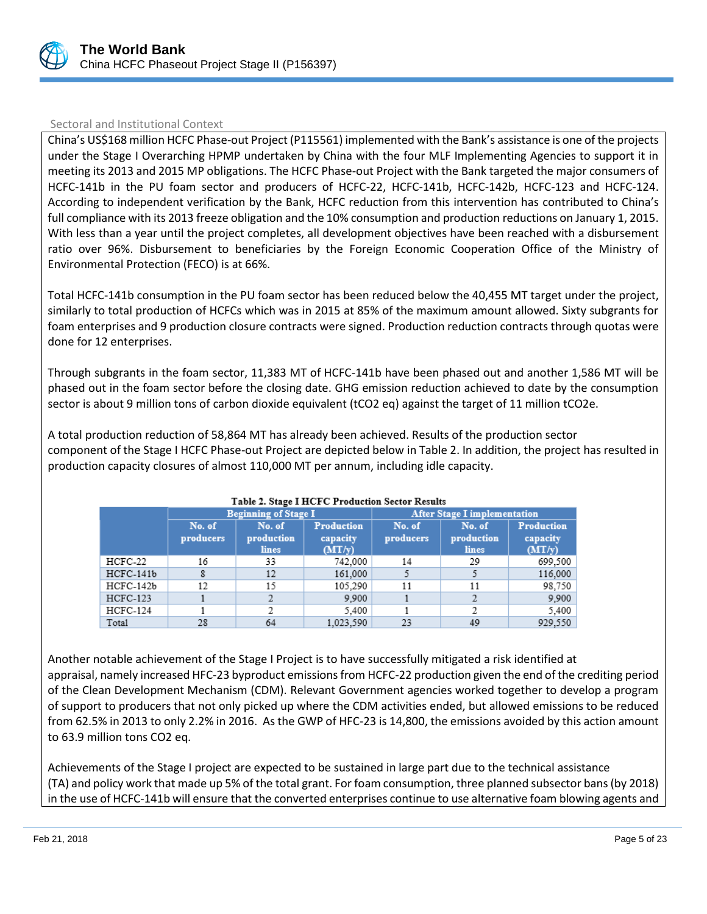

## Sectoral and Institutional Context

China's US\$168 million HCFC Phase-out Project (P115561) implemented with the Bank's assistance is one of the projects under the Stage I Overarching HPMP undertaken by China with the four MLF Implementing Agencies to support it in meeting its 2013 and 2015 MP obligations. The HCFC Phase-out Project with the Bank targeted the major consumers of HCFC-141b in the PU foam sector and producers of HCFC-22, HCFC-141b, HCFC-142b, HCFC-123 and HCFC-124. According to independent verification by the Bank, HCFC reduction from this intervention has contributed to China's full compliance with its 2013 freeze obligation and the 10% consumption and production reductions on January 1, 2015. With less than a year until the project completes, all development objectives have been reached with a disbursement ratio over 96%. Disbursement to beneficiaries by the Foreign Economic Cooperation Office of the Ministry of Environmental Protection (FECO) is at 66%.

Total HCFC-141b consumption in the PU foam sector has been reduced below the 40,455 MT target under the project, similarly to total production of HCFCs which was in 2015 at 85% of the maximum amount allowed. Sixty subgrants for foam enterprises and 9 production closure contracts were signed. Production reduction contracts through quotas were done for 12 enterprises.

Through subgrants in the foam sector, 11,383 MT of HCFC-141b have been phased out and another 1,586 MT will be phased out in the foam sector before the closing date. GHG emission reduction achieved to date by the consumption sector is about 9 million tons of carbon dioxide equivalent (tCO2 eq) against the target of 11 million tCO2e.

A total production reduction of 58,864 MT has already been achieved. Results of the production sector component of the Stage I HCFC Phase-out Project are depicted below in Table 2. In addition, the project has resulted in production capacity closures of almost 110,000 MT per annum, including idle capacity.

|             |                     | <b>Beginning of Stage I</b>   |                                         |                     | <b>After Stage I implementation</b>  |                                         |  |
|-------------|---------------------|-------------------------------|-----------------------------------------|---------------------|--------------------------------------|-----------------------------------------|--|
|             | No. of<br>producers | No. of<br>production<br>lines | <b>Production</b><br>capacity<br>(MT/v) | No. of<br>producers | No. of<br>production<br><b>lines</b> | <b>Production</b><br>capacity<br>(MT/v) |  |
| HCFC-22     | 16                  | 33                            | 742.000                                 | 14                  | 29                                   | 699,500                                 |  |
| $HCFC-141b$ |                     | 12                            | 161,000                                 |                     |                                      | 116,000                                 |  |
| HCFC-142b   | 12                  | 15                            | 105,290                                 | 11                  | 11                                   | 98,750                                  |  |
| HCFC-123    |                     |                               | 9.900                                   |                     |                                      | 9.900                                   |  |
| $HCFC-124$  |                     |                               | 5,400                                   |                     |                                      | 5,400                                   |  |
| Total       | 28                  | 64                            | 1.023.590                               | 23                  | 49                                   | 929.550                                 |  |

#### Table 2. Stage I HCFC Production Sector Results

Another notable achievement of the Stage I Project is to have successfully mitigated a risk identified at appraisal, namely increased HFC-23 byproduct emissions from HCFC-22 production given the end of the crediting period of the Clean Development Mechanism (CDM). Relevant Government agencies worked together to develop a program of support to producers that not only picked up where the CDM activities ended, but allowed emissions to be reduced from 62.5% in 2013 to only 2.2% in 2016. As the GWP of HFC-23 is 14,800, the emissions avoided by this action amount to 63.9 million tons CO2 eq.

Achievements of the Stage I project are expected to be sustained in large part due to the technical assistance (TA) and policy work that made up 5% of the total grant. For foam consumption, three planned subsector bans (by 2018) in the use of HCFC-141b will ensure that the converted enterprises continue to use alternative foam blowing agents and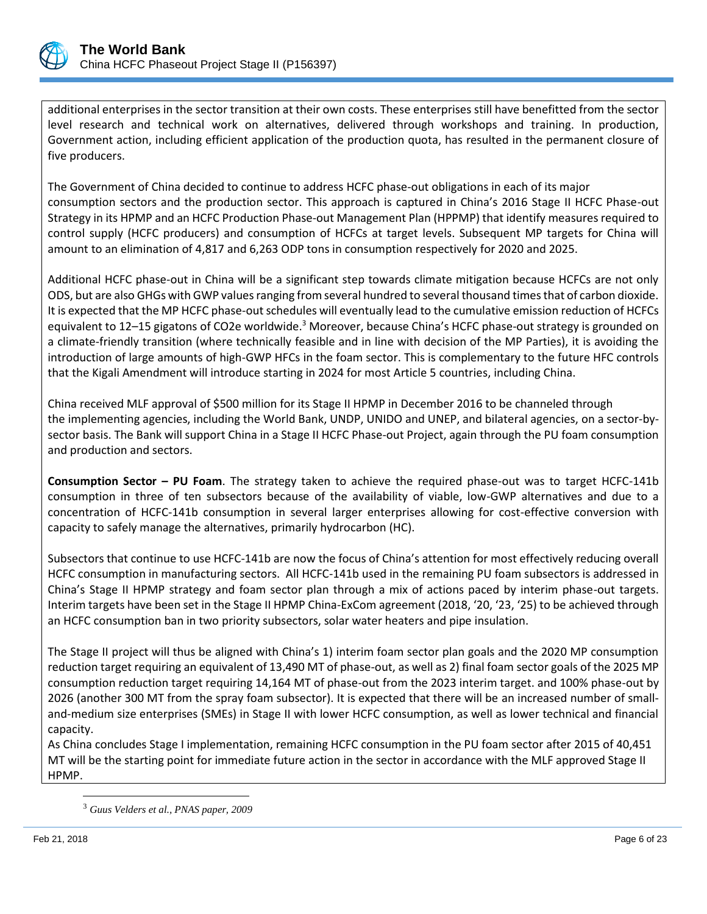

additional enterprises in the sector transition at their own costs. These enterprises still have benefitted from the sector level research and technical work on alternatives, delivered through workshops and training. In production, Government action, including efficient application of the production quota, has resulted in the permanent closure of five producers.

The Government of China decided to continue to address HCFC phase-out obligations in each of its major consumption sectors and the production sector. This approach is captured in China's 2016 Stage II HCFC Phase-out Strategy in its HPMP and an HCFC Production Phase-out Management Plan (HPPMP) that identify measures required to control supply (HCFC producers) and consumption of HCFCs at target levels. Subsequent MP targets for China will amount to an elimination of 4,817 and 6,263 ODP tons in consumption respectively for 2020 and 2025.

Additional HCFC phase-out in China will be a significant step towards climate mitigation because HCFCs are not only ODS, but are also GHGs with GWP values ranging from several hundred to several thousand times that of carbon dioxide. It is expected that the MP HCFC phase-out schedules will eventually lead to the cumulative emission reduction of HCFCs equivalent to 12–15 gigatons of CO2e worldwide.<sup>3</sup> Moreover, because China's HCFC phase-out strategy is grounded on a climate-friendly transition (where technically feasible and in line with decision of the MP Parties), it is avoiding the introduction of large amounts of high-GWP HFCs in the foam sector. This is complementary to the future HFC controls that the Kigali Amendment will introduce starting in 2024 for most Article 5 countries, including China.

China received MLF approval of \$500 million for its Stage II HPMP in December 2016 to be channeled through the implementing agencies, including the World Bank, UNDP, UNIDO and UNEP, and bilateral agencies, on a sector-bysector basis. The Bank will support China in a Stage II HCFC Phase-out Project, again through the PU foam consumption and production and sectors.

**Consumption Sector – PU Foam**. The strategy taken to achieve the required phase-out was to target HCFC-141b consumption in three of ten subsectors because of the availability of viable, low-GWP alternatives and due to a concentration of HCFC-141b consumption in several larger enterprises allowing for cost-effective conversion with capacity to safely manage the alternatives, primarily hydrocarbon (HC).

Subsectors that continue to use HCFC-141b are now the focus of China's attention for most effectively reducing overall HCFC consumption in manufacturing sectors. All HCFC-141b used in the remaining PU foam subsectors is addressed in China's Stage II HPMP strategy and foam sector plan through a mix of actions paced by interim phase-out targets. Interim targets have been set in the Stage II HPMP China-ExCom agreement (2018, '20, '23, '25) to be achieved through an HCFC consumption ban in two priority subsectors, solar water heaters and pipe insulation.

The Stage II project will thus be aligned with China's 1) interim foam sector plan goals and the 2020 MP consumption reduction target requiring an equivalent of 13,490 MT of phase-out, as well as 2) final foam sector goals of the 2025 MP consumption reduction target requiring 14,164 MT of phase-out from the 2023 interim target. and 100% phase-out by 2026 (another 300 MT from the spray foam subsector). It is expected that there will be an increased number of smalland-medium size enterprises (SMEs) in Stage II with lower HCFC consumption, as well as lower technical and financial capacity.

As China concludes Stage I implementation, remaining HCFC consumption in the PU foam sector after 2015 of 40,451 MT will be the starting point for immediate future action in the sector in accordance with the MLF approved Stage II HPMP.

<sup>3</sup> *Guus Velders et al., PNAS paper, 2009*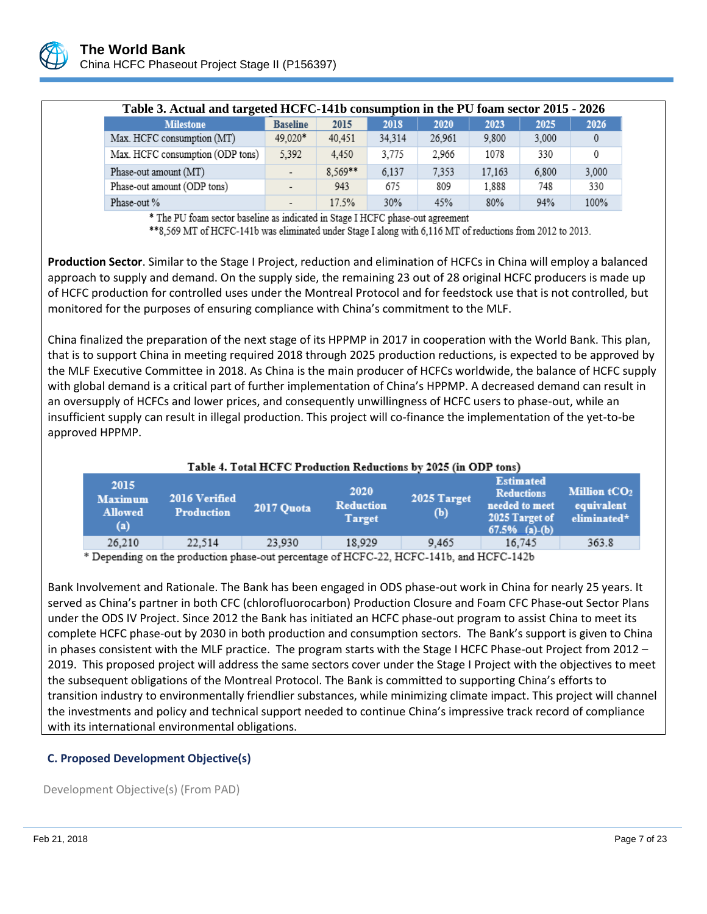

| Table 3. Actual and targeted HCFC-141b consumption in the PU foam sector 2015 - 2026 |                          |           |        |        |        |       |       |
|--------------------------------------------------------------------------------------|--------------------------|-----------|--------|--------|--------|-------|-------|
| <b>Milestone</b>                                                                     | <b>Baseline</b>          | 2015      | 2018   | 2020   | 2023   | 2025  | 2026  |
| Max. HCFC consumption (MT)                                                           | 49.020*                  | 40,451    | 34,314 | 26,961 | 9,800  | 3,000 |       |
| Max. HCFC consumption (ODP tons)                                                     | 5,392                    | 4.450     | 3,775  | 2.966  | 1078   | 330   |       |
| Phase-out amount (MT)                                                                |                          | $8.569**$ | 6.137  | 7.353  | 17.163 | 6.800 | 3,000 |
| Phase-out amount (ODP tons)                                                          |                          | 943       | 675    | 809    | 1.888  | 748   | 330   |
| Phase-out %                                                                          | $\overline{\phantom{0}}$ | 17.5%     | 30%    | 45%    | 80%    | 94%   | 100%  |

\* The PU foam sector baseline as indicated in Stage I HCFC phase-out agreement

\*\* 8,569 MT of HCFC-141b was eliminated under Stage I along with 6,116 MT of reductions from 2012 to 2013.

**Production Sector**. Similar to the Stage I Project, reduction and elimination of HCFCs in China will employ a balanced approach to supply and demand. On the supply side, the remaining 23 out of 28 original HCFC producers is made up of HCFC production for controlled uses under the Montreal Protocol and for feedstock use that is not controlled, but monitored for the purposes of ensuring compliance with China's commitment to the MLF.

China finalized the preparation of the next stage of its HPPMP in 2017 in cooperation with the World Bank. This plan, that is to support China in meeting required 2018 through 2025 production reductions, is expected to be approved by the MLF Executive Committee in 2018. As China is the main producer of HCFCs worldwide, the balance of HCFC supply with global demand is a critical part of further implementation of China's HPPMP. A decreased demand can result in an oversupply of HCFCs and lower prices, and consequently unwillingness of HCFC users to phase-out, while an insufficient supply can result in illegal production. This project will co-finance the implementation of the yet-to-be approved HPPMP.

| Table 4. Total HCFC Production Reductions by 2025 (in ODP tons) |                                    |            |                                           |                    |                                                                                              |                                                       |
|-----------------------------------------------------------------|------------------------------------|------------|-------------------------------------------|--------------------|----------------------------------------------------------------------------------------------|-------------------------------------------------------|
| 2015<br><b>Maximum</b><br><b>Allowed</b><br>(a)                 | 2016 Verified<br><b>Production</b> | 2017 Quota | 2020<br><b>Reduction</b><br><b>Target</b> | 2025 Target<br>(b) | <b>Estimated</b><br><b>Reductions</b><br>needed to meet<br>2025 Target of<br>$67.5%$ (a)-(b) | Million tCO <sub>2</sub><br>equivalent<br>eliminated* |
| 26.210                                                          | 22.514                             | 23,930     | 18.929                                    | 9.465              | 16.745                                                                                       | 363.8                                                 |

\* Depending on the production phase-out percentage of HCFC-22, HCFC-141b, and HCFC-142b

Bank Involvement and Rationale. The Bank has been engaged in ODS phase-out work in China for nearly 25 years. It served as China's partner in both CFC (chlorofluorocarbon) Production Closure and Foam CFC Phase-out Sector Plans under the ODS IV Project. Since 2012 the Bank has initiated an HCFC phase-out program to assist China to meet its complete HCFC phase-out by 2030 in both production and consumption sectors. The Bank's support is given to China in phases consistent with the MLF practice. The program starts with the Stage I HCFC Phase-out Project from 2012 – 2019. This proposed project will address the same sectors cover under the Stage I Project with the objectives to meet the subsequent obligations of the Montreal Protocol. The Bank is committed to supporting China's efforts to transition industry to environmentally friendlier substances, while minimizing climate impact. This project will channel the investments and policy and technical support needed to continue China's impressive track record of compliance with its international environmental obligations.

## **C. Proposed Development Objective(s)**

Development Objective(s) (From PAD)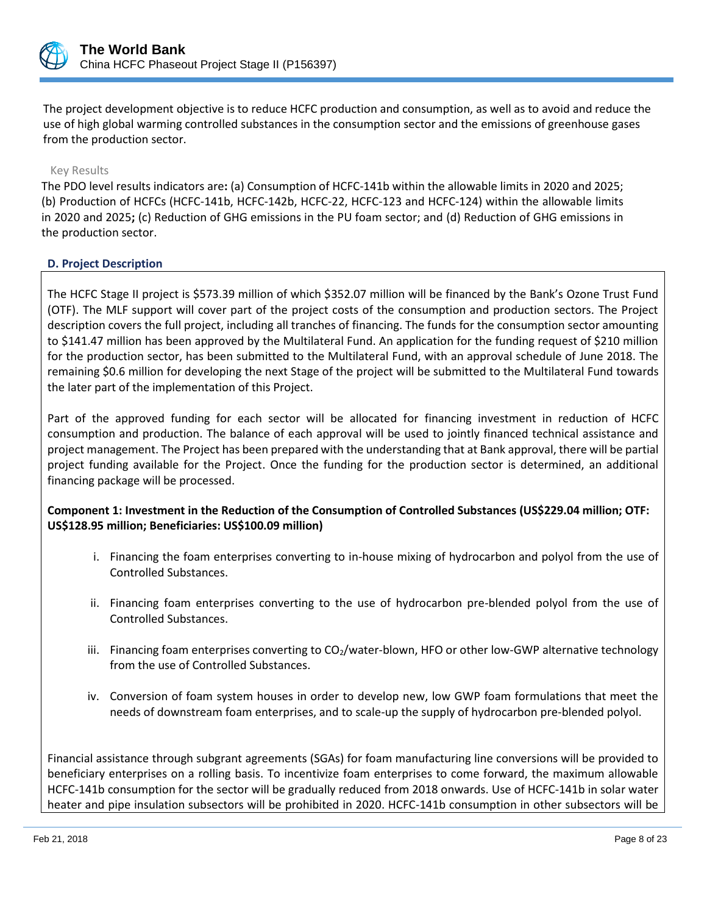

The project development objective is to reduce HCFC production and consumption, as well as to avoid and reduce the use of high global warming controlled substances in the consumption sector and the emissions of greenhouse gases from the production sector.

## Key Results

The PDO level results indicators are**:** (a) Consumption of HCFC-141b within the allowable limits in 2020 and 2025; (b) Production of HCFCs (HCFC-141b, HCFC-142b, HCFC-22, HCFC-123 and HCFC-124) within the allowable limits in 2020 and 2025**;** (c) Reduction of GHG emissions in the PU foam sector; and (d) Reduction of GHG emissions in the production sector.

## **D. Project Description**

The HCFC Stage II project is \$573.39 million of which \$352.07 million will be financed by the Bank's Ozone Trust Fund (OTF). The MLF support will cover part of the project costs of the consumption and production sectors. The Project description covers the full project, including all tranches of financing. The funds for the consumption sector amounting to \$141.47 million has been approved by the Multilateral Fund. An application for the funding request of \$210 million for the production sector, has been submitted to the Multilateral Fund, with an approval schedule of June 2018. The remaining \$0.6 million for developing the next Stage of the project will be submitted to the Multilateral Fund towards the later part of the implementation of this Project.

Part of the approved funding for each sector will be allocated for financing investment in reduction of HCFC consumption and production. The balance of each approval will be used to jointly financed technical assistance and project management. The Project has been prepared with the understanding that at Bank approval, there will be partial project funding available for the Project. Once the funding for the production sector is determined, an additional financing package will be processed.

# **Component 1: Investment in the Reduction of the Consumption of Controlled Substances (US\$229.04 million; OTF: US\$128.95 million; Beneficiaries: US\$100.09 million)**

- i. Financing the foam enterprises converting to in-house mixing of hydrocarbon and polyol from the use of Controlled Substances.
- ii. Financing foam enterprises converting to the use of hydrocarbon pre-blended polyol from the use of Controlled Substances.
- iii. Financing foam enterprises converting to CO<sub>2</sub>/water-blown, HFO or other low-GWP alternative technology from the use of Controlled Substances.
- iv. Conversion of foam system houses in order to develop new, low GWP foam formulations that meet the needs of downstream foam enterprises, and to scale-up the supply of hydrocarbon pre-blended polyol.

Financial assistance through subgrant agreements (SGAs) for foam manufacturing line conversions will be provided to beneficiary enterprises on a rolling basis. To incentivize foam enterprises to come forward, the maximum allowable HCFC-141b consumption for the sector will be gradually reduced from 2018 onwards. Use of HCFC-141b in solar water heater and pipe insulation subsectors will be prohibited in 2020. HCFC-141b consumption in other subsectors will be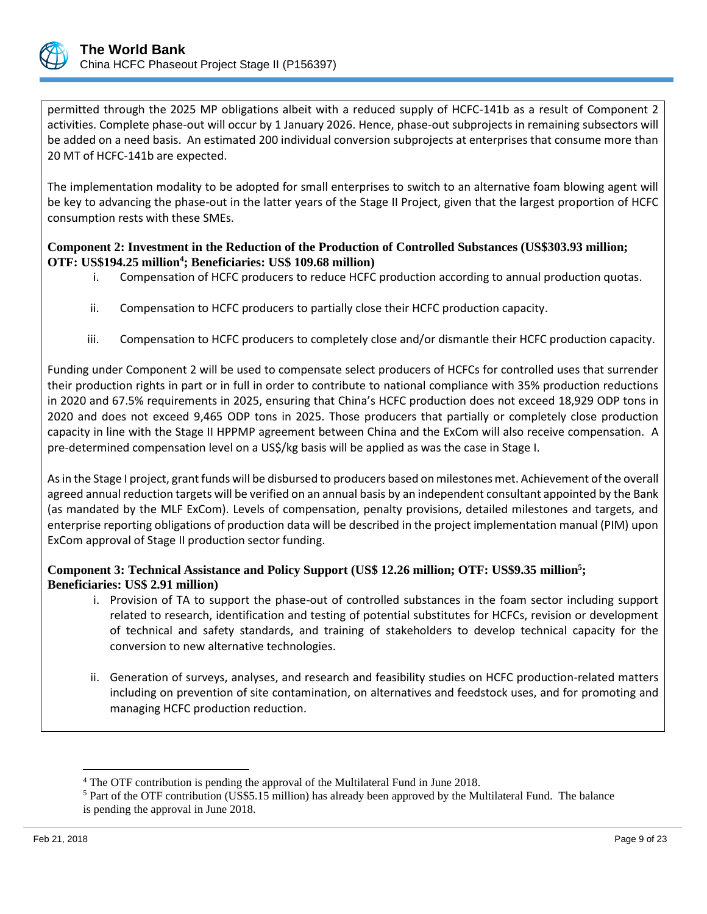

permitted through the 2025 MP obligations albeit with a reduced supply of HCFC-141b as a result of Component 2 activities. Complete phase-out will occur by 1 January 2026. Hence, phase-out subprojects in remaining subsectors will be added on a need basis. An estimated 200 individual conversion subprojects at enterprises that consume more than 20 MT of HCFC-141b are expected.

The implementation modality to be adopted for small enterprises to switch to an alternative foam blowing agent will be key to advancing the phase-out in the latter years of the Stage II Project, given that the largest proportion of HCFC consumption rests with these SMEs.

# **Component 2: Investment in the Reduction of the Production of Controlled Substances (US\$303.93 million; OTF: US\$194.25 million<sup>4</sup> ; Beneficiaries: US\$ 109.68 million)**

- i. Compensation of HCFC producers to reduce HCFC production according to annual production quotas.
- ii. Compensation to HCFC producers to partially close their HCFC production capacity.
- iii. Compensation to HCFC producers to completely close and/or dismantle their HCFC production capacity.

Funding under Component 2 will be used to compensate select producers of HCFCs for controlled uses that surrender their production rights in part or in full in order to contribute to national compliance with 35% production reductions in 2020 and 67.5% requirements in 2025, ensuring that China's HCFC production does not exceed 18,929 ODP tons in 2020 and does not exceed 9,465 ODP tons in 2025. Those producers that partially or completely close production capacity in line with the Stage II HPPMP agreement between China and the ExCom will also receive compensation. A pre-determined compensation level on a US\$/kg basis will be applied as was the case in Stage I.

As in the Stage I project, grant funds will be disbursed to producers based on milestones met. Achievement of the overall agreed annual reduction targets will be verified on an annual basis by an independent consultant appointed by the Bank (as mandated by the MLF ExCom). Levels of compensation, penalty provisions, detailed milestones and targets, and enterprise reporting obligations of production data will be described in the project implementation manual (PIM) upon ExCom approval of Stage II production sector funding.

# **Component 3: Technical Assistance and Policy Support (US\$ 12.26 million; OTF: US\$9.35 million 5 ; Beneficiaries: US\$ 2.91 million)**

- i. Provision of TA to support the phase-out of controlled substances in the foam sector including support related to research, identification and testing of potential substitutes for HCFCs, revision or development of technical and safety standards, and training of stakeholders to develop technical capacity for the conversion to new alternative technologies.
- ii. Generation of surveys, analyses, and research and feasibility studies on HCFC production-related matters including on prevention of site contamination, on alternatives and feedstock uses, and for promoting and managing HCFC production reduction.

<sup>4</sup> The OTF contribution is pending the approval of the Multilateral Fund in June 2018.

<sup>5</sup> Part of the OTF contribution (US\$5.15 million) has already been approved by the Multilateral Fund. The balance is pending the approval in June 2018.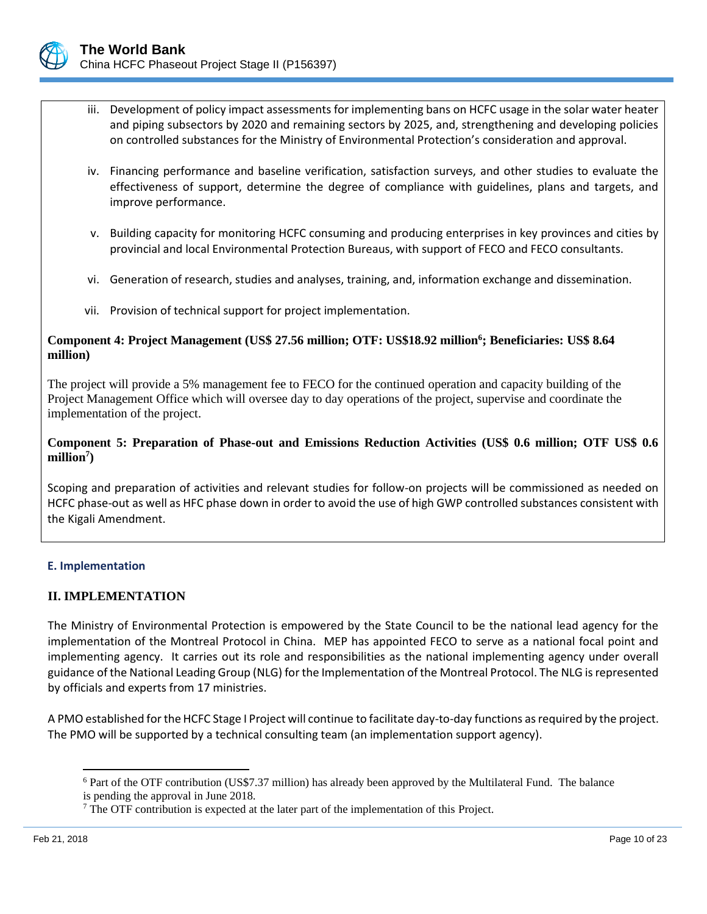

- iii. Development of policy impact assessments for implementing bans on HCFC usage in the solar water heater and piping subsectors by 2020 and remaining sectors by 2025, and, strengthening and developing policies on controlled substances for the Ministry of Environmental Protection's consideration and approval.
- iv. Financing performance and baseline verification, satisfaction surveys, and other studies to evaluate the effectiveness of support, determine the degree of compliance with guidelines, plans and targets, and improve performance.
- v. Building capacity for monitoring HCFC consuming and producing enterprises in key provinces and cities by provincial and local Environmental Protection Bureaus, with support of FECO and FECO consultants.
- vi. Generation of research, studies and analyses, training, and, information exchange and dissemination.
- vii. Provision of technical support for project implementation.

## **Component 4: Project Management (US\$ 27.56 million; OTF: US\$18.92 million<sup>6</sup> ; Beneficiaries: US\$ 8.64 million)**

The project will provide a 5% management fee to FECO for the continued operation and capacity building of the Project Management Office which will oversee day to day operations of the project, supervise and coordinate the implementation of the project.

# **Component 5: Preparation of Phase-out and Emissions Reduction Activities (US\$ 0.6 million; OTF US\$ 0.6 million<sup>7</sup> )**

Scoping and preparation of activities and relevant studies for follow-on projects will be commissioned as needed on HCFC phase-out as well as HFC phase down in order to avoid the use of high GWP controlled substances consistent with the Kigali Amendment.

# **E. Implementation**

# **II. IMPLEMENTATION**

The Ministry of Environmental Protection is empowered by the State Council to be the national lead agency for the implementation of the Montreal Protocol in China. MEP has appointed FECO to serve as a national focal point and implementing agency. It carries out its role and responsibilities as the national implementing agency under overall guidance of the National Leading Group (NLG) for the Implementation of the Montreal Protocol. The NLG is represented by officials and experts from 17 ministries.

A PMO established for the HCFC Stage I Project will continue to facilitate day-to-day functions as required by the project. The PMO will be supported by a technical consulting team (an implementation support agency).

<sup>6</sup> Part of the OTF contribution (US\$7.37 million) has already been approved by the Multilateral Fund. The balance is pending the approval in June 2018.

 $<sup>7</sup>$  The OTF contribution is expected at the later part of the implementation of this Project.</sup>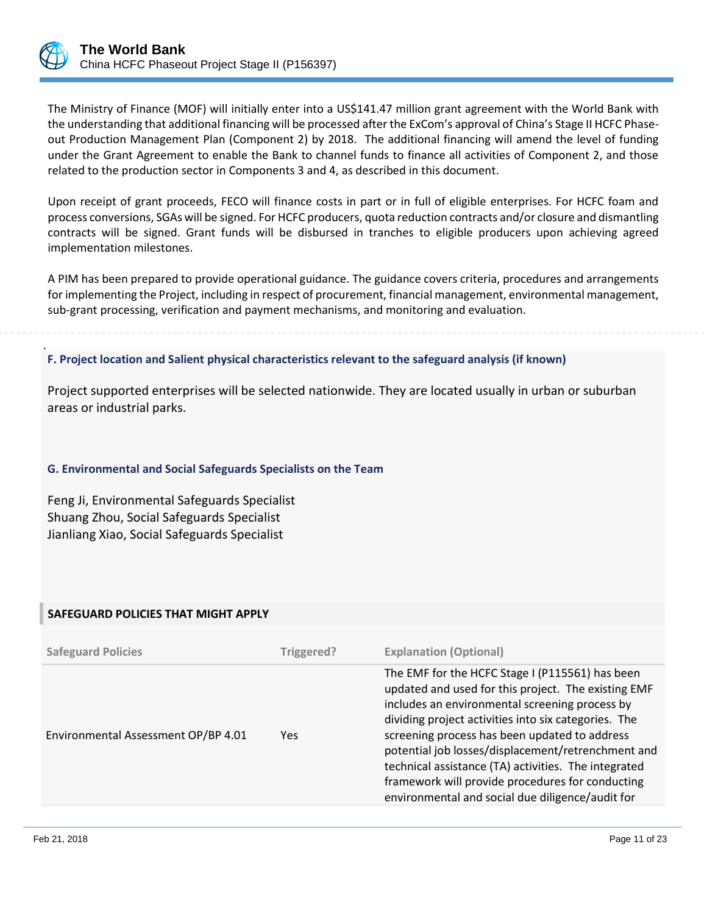

.

The Ministry of Finance (MOF) will initially enter into a US\$141.47 million grant agreement with the World Bank with the understanding that additional financing will be processed after the ExCom's approval of China's Stage II HCFC Phaseout Production Management Plan (Component 2) by 2018. The additional financing will amend the level of funding under the Grant Agreement to enable the Bank to channel funds to finance all activities of Component 2, and those related to the production sector in Components 3 and 4, as described in this document.

Upon receipt of grant proceeds, FECO will finance costs in part or in full of eligible enterprises. For HCFC foam and process conversions, SGAs will be signed. For HCFC producers, quota reduction contracts and/or closure and dismantling contracts will be signed. Grant funds will be disbursed in tranches to eligible producers upon achieving agreed implementation milestones.

A PIM has been prepared to provide operational guidance. The guidance covers criteria, procedures and arrangements for implementing the Project, including in respect of procurement, financial management, environmental management, sub-grant processing, verification and payment mechanisms, and monitoring and evaluation.

**F. Project location and Salient physical characteristics relevant to the safeguard analysis (if known)**

Project supported enterprises will be selected nationwide. They are located usually in urban or suburban areas or industrial parks.

## **G. Environmental and Social Safeguards Specialists on the Team**

Feng Ji, Environmental Safeguards Specialist Shuang Zhou, Social Safeguards Specialist Jianliang Xiao, Social Safeguards Specialist

## **SAFEGUARD POLICIES THAT MIGHT APPLY**

| <b>Safeguard Policies</b>           | Triggered? | <b>Explanation (Optional)</b>                                                                                                                                                                                                                                                                                                                                                                                                                                                           |
|-------------------------------------|------------|-----------------------------------------------------------------------------------------------------------------------------------------------------------------------------------------------------------------------------------------------------------------------------------------------------------------------------------------------------------------------------------------------------------------------------------------------------------------------------------------|
| Environmental Assessment OP/BP 4.01 | <b>Yes</b> | The EMF for the HCFC Stage I (P115561) has been<br>updated and used for this project. The existing EMF<br>includes an environmental screening process by<br>dividing project activities into six categories. The<br>screening process has been updated to address<br>potential job losses/displacement/retrenchment and<br>technical assistance (TA) activities. The integrated<br>framework will provide procedures for conducting<br>environmental and social due diligence/audit for |
|                                     |            |                                                                                                                                                                                                                                                                                                                                                                                                                                                                                         |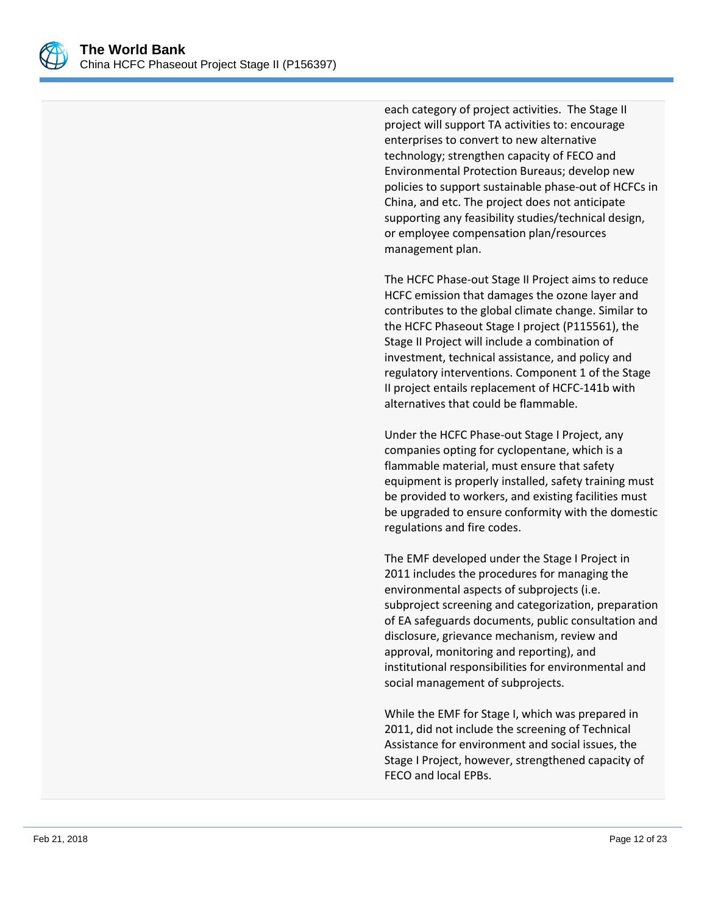

each category of project activities. The Stage II project will support TA activities to: encourage enterprises to convert to new alternative technology; strengthen capacity of FECO and Environmental Protection Bureaus; develop new policies to support sustainable phase-out of HCFCs in China, and etc. The project does not anticipate supporting any feasibility studies/technical design, or employee compensation plan/resources management plan.

The HCFC Phase-out Stage II Project aims to reduce HCFC emission that damages the ozone layer and contributes to the global climate change. Similar to the HCFC Phaseout Stage I project (P115561), the Stage II Project will include a combination of investment, technical assistance, and policy and regulatory interventions. Component 1 of the Stage II project entails replacement of HCFC-141b with alternatives that could be flammable.

Under the HCFC Phase-out Stage I Project, any companies opting for cyclopentane, which is a flammable material, must ensure that safety equipment is properly installed, safety training must be provided to workers, and existing facilities must be upgraded to ensure conformity with the domestic regulations and fire codes.

The EMF developed under the Stage I Project in 2011 includes the procedures for managing the environmental aspects of subprojects (i.e. subproject screening and categorization, preparation of EA safeguards documents, public consultation and disclosure, grievance mechanism, review and approval, monitoring and reporting), and institutional responsibilities for environmental and social management of subprojects.

While the EMF for Stage I, which was prepared in 2011, did not include the screening of Technical Assistance for environment and social issues, the Stage I Project, however, strengthened capacity of FECO and local EPBs.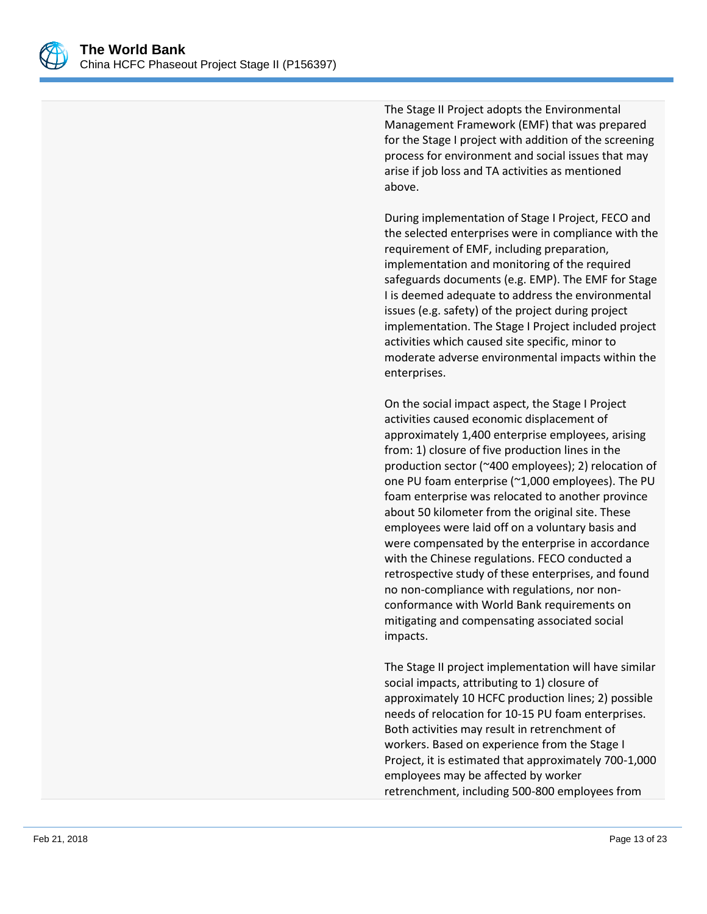

The Stage II Project adopts the Environmental Management Framework (EMF) that was prepared for the Stage I project with addition of the screening process for environment and social issues that may arise if job loss and TA activities as mentioned above.

During implementation of Stage I Project, FECO and the selected enterprises were in compliance with the requirement of EMF, including preparation, implementation and monitoring of the required safeguards documents (e.g. EMP). The EMF for Stage I is deemed adequate to address the environmental issues (e.g. safety) of the project during project implementation. The Stage I Project included project activities which caused site specific, minor to moderate adverse environmental impacts within the enterprises.

On the social impact aspect, the Stage I Project activities caused economic displacement of approximately 1,400 enterprise employees, arising from: 1) closure of five production lines in the production sector (~400 employees); 2) relocation of one PU foam enterprise (~1,000 employees). The PU foam enterprise was relocated to another province about 50 kilometer from the original site. These employees were laid off on a voluntary basis and were compensated by the enterprise in accordance with the Chinese regulations. FECO conducted a retrospective study of these enterprises, and found no non-compliance with regulations, nor nonconformance with World Bank requirements on mitigating and compensating associated social impacts.

The Stage II project implementation will have similar social impacts, attributing to 1) closure of approximately 10 HCFC production lines; 2) possible needs of relocation for 10-15 PU foam enterprises. Both activities may result in retrenchment of workers. Based on experience from the Stage I Project, it is estimated that approximately 700-1,000 employees may be affected by worker retrenchment, including 500-800 employees from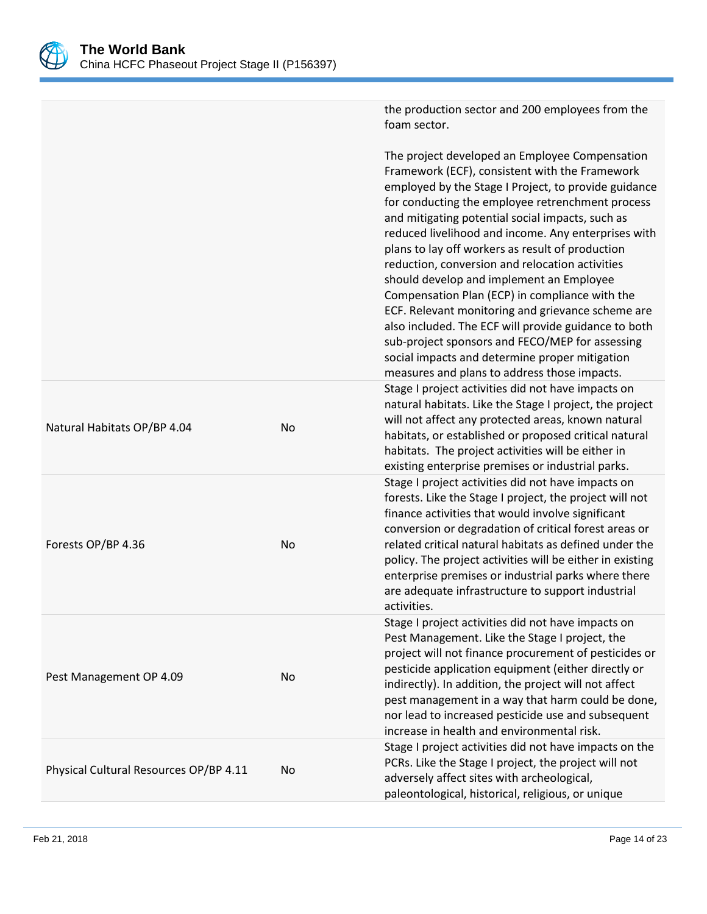

|                                        |           | the production sector and 200 employees from the<br>foam sector.                                                                                                                                                                                                                                                                                                                                                                                                                                                                                                                                                                                                                                                                                                                               |
|----------------------------------------|-----------|------------------------------------------------------------------------------------------------------------------------------------------------------------------------------------------------------------------------------------------------------------------------------------------------------------------------------------------------------------------------------------------------------------------------------------------------------------------------------------------------------------------------------------------------------------------------------------------------------------------------------------------------------------------------------------------------------------------------------------------------------------------------------------------------|
|                                        |           | The project developed an Employee Compensation<br>Framework (ECF), consistent with the Framework<br>employed by the Stage I Project, to provide guidance<br>for conducting the employee retrenchment process<br>and mitigating potential social impacts, such as<br>reduced livelihood and income. Any enterprises with<br>plans to lay off workers as result of production<br>reduction, conversion and relocation activities<br>should develop and implement an Employee<br>Compensation Plan (ECP) in compliance with the<br>ECF. Relevant monitoring and grievance scheme are<br>also included. The ECF will provide guidance to both<br>sub-project sponsors and FECO/MEP for assessing<br>social impacts and determine proper mitigation<br>measures and plans to address those impacts. |
| Natural Habitats OP/BP 4.04            | No        | Stage I project activities did not have impacts on<br>natural habitats. Like the Stage I project, the project<br>will not affect any protected areas, known natural<br>habitats, or established or proposed critical natural<br>habitats. The project activities will be either in<br>existing enterprise premises or industrial parks.                                                                                                                                                                                                                                                                                                                                                                                                                                                        |
| Forests OP/BP 4.36                     | <b>No</b> | Stage I project activities did not have impacts on<br>forests. Like the Stage I project, the project will not<br>finance activities that would involve significant<br>conversion or degradation of critical forest areas or<br>related critical natural habitats as defined under the<br>policy. The project activities will be either in existing<br>enterprise premises or industrial parks where there<br>are adequate infrastructure to support industrial<br>activities.                                                                                                                                                                                                                                                                                                                  |
| Pest Management OP 4.09                | No        | Stage I project activities did not have impacts on<br>Pest Management. Like the Stage I project, the<br>project will not finance procurement of pesticides or<br>pesticide application equipment (either directly or<br>indirectly). In addition, the project will not affect<br>pest management in a way that harm could be done,<br>nor lead to increased pesticide use and subsequent<br>increase in health and environmental risk.                                                                                                                                                                                                                                                                                                                                                         |
| Physical Cultural Resources OP/BP 4.11 | No        | Stage I project activities did not have impacts on the<br>PCRs. Like the Stage I project, the project will not<br>adversely affect sites with archeological,<br>paleontological, historical, religious, or unique                                                                                                                                                                                                                                                                                                                                                                                                                                                                                                                                                                              |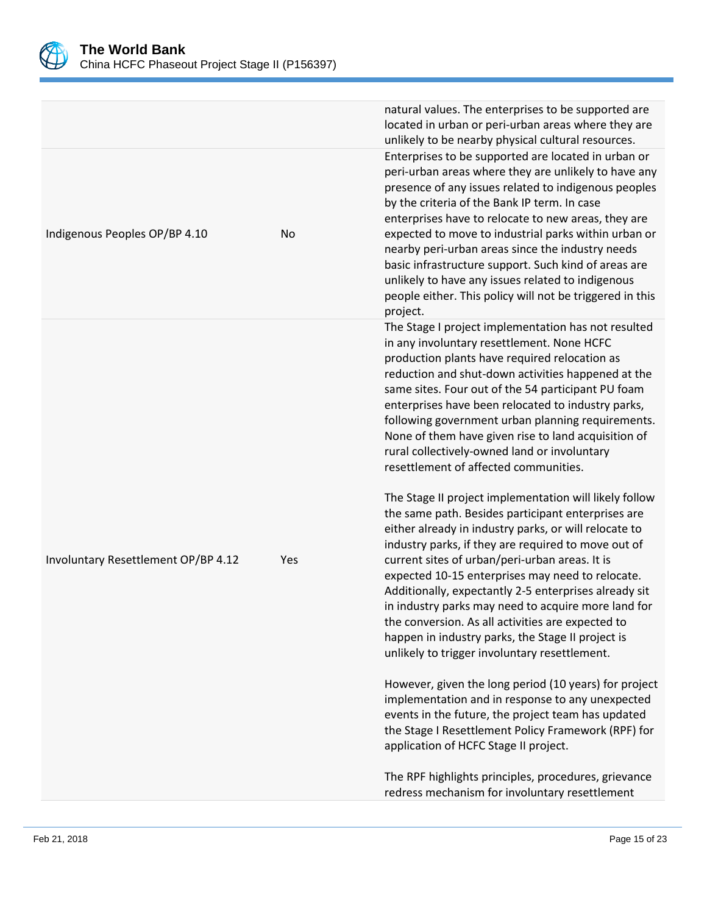

|                                     |     | natural values. The enterprises to be supported are<br>located in urban or peri-urban areas where they are<br>unlikely to be nearby physical cultural resources.                                                                                                                                                                                                                                                                                                                                                                                                                                              |
|-------------------------------------|-----|---------------------------------------------------------------------------------------------------------------------------------------------------------------------------------------------------------------------------------------------------------------------------------------------------------------------------------------------------------------------------------------------------------------------------------------------------------------------------------------------------------------------------------------------------------------------------------------------------------------|
| Indigenous Peoples OP/BP 4.10       | No  | Enterprises to be supported are located in urban or<br>peri-urban areas where they are unlikely to have any<br>presence of any issues related to indigenous peoples<br>by the criteria of the Bank IP term. In case<br>enterprises have to relocate to new areas, they are<br>expected to move to industrial parks within urban or<br>nearby peri-urban areas since the industry needs<br>basic infrastructure support. Such kind of areas are<br>unlikely to have any issues related to indigenous<br>people either. This policy will not be triggered in this<br>project.                                   |
|                                     |     | The Stage I project implementation has not resulted<br>in any involuntary resettlement. None HCFC<br>production plants have required relocation as<br>reduction and shut-down activities happened at the<br>same sites. Four out of the 54 participant PU foam<br>enterprises have been relocated to industry parks,<br>following government urban planning requirements.<br>None of them have given rise to land acquisition of<br>rural collectively-owned land or involuntary<br>resettlement of affected communities.                                                                                     |
| Involuntary Resettlement OP/BP 4.12 | Yes | The Stage II project implementation will likely follow<br>the same path. Besides participant enterprises are<br>either already in industry parks, or will relocate to<br>industry parks, if they are required to move out of<br>current sites of urban/peri-urban areas. It is<br>expected 10-15 enterprises may need to relocate.<br>Additionally, expectantly 2-5 enterprises already sit<br>in industry parks may need to acquire more land for<br>the conversion. As all activities are expected to<br>happen in industry parks, the Stage II project is<br>unlikely to trigger involuntary resettlement. |
|                                     |     | However, given the long period (10 years) for project<br>implementation and in response to any unexpected<br>events in the future, the project team has updated<br>the Stage I Resettlement Policy Framework (RPF) for<br>application of HCFC Stage II project.                                                                                                                                                                                                                                                                                                                                               |
|                                     |     | The RPF highlights principles, procedures, grievance<br>redress mechanism for involuntary resettlement                                                                                                                                                                                                                                                                                                                                                                                                                                                                                                        |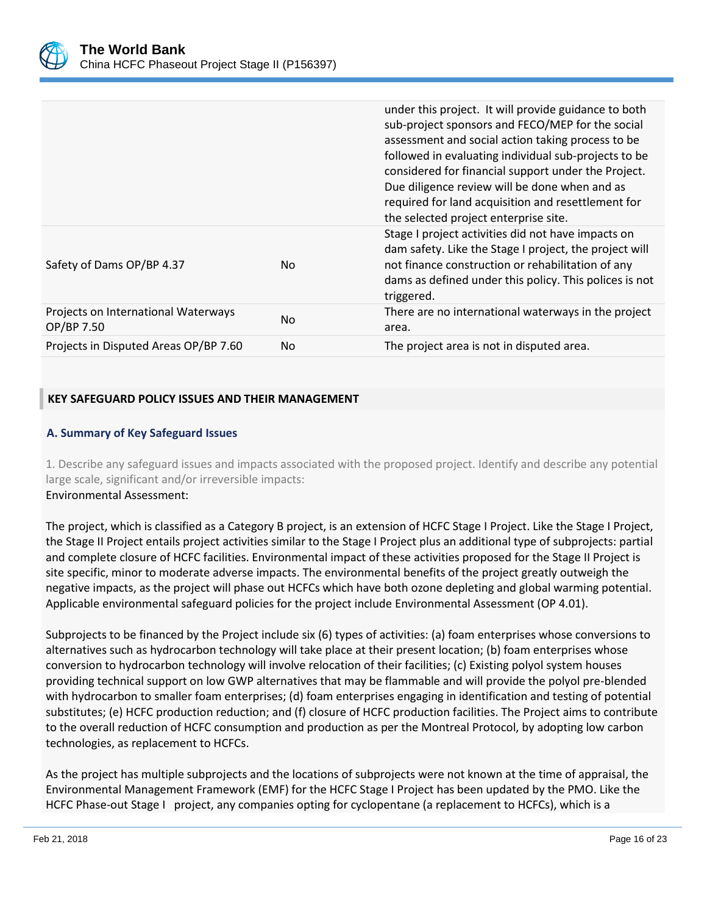

|                                                   |     | under this project. It will provide guidance to both<br>sub-project sponsors and FECO/MEP for the social<br>assessment and social action taking process to be<br>followed in evaluating individual sub-projects to be<br>considered for financial support under the Project.<br>Due diligence review will be done when and as<br>required for land acquisition and resettlement for<br>the selected project enterprise site. |
|---------------------------------------------------|-----|------------------------------------------------------------------------------------------------------------------------------------------------------------------------------------------------------------------------------------------------------------------------------------------------------------------------------------------------------------------------------------------------------------------------------|
| Safety of Dams OP/BP 4.37                         | No. | Stage I project activities did not have impacts on<br>dam safety. Like the Stage I project, the project will<br>not finance construction or rehabilitation of any<br>dams as defined under this policy. This polices is not<br>triggered.                                                                                                                                                                                    |
| Projects on International Waterways<br>OP/BP 7.50 | No. | There are no international waterways in the project<br>area.                                                                                                                                                                                                                                                                                                                                                                 |
| Projects in Disputed Areas OP/BP 7.60             | No. | The project area is not in disputed area.                                                                                                                                                                                                                                                                                                                                                                                    |

# **KEY SAFEGUARD POLICY ISSUES AND THEIR MANAGEMENT**

## **A. Summary of Key Safeguard Issues**

1. Describe any safeguard issues and impacts associated with the proposed project. Identify and describe any potential large scale, significant and/or irreversible impacts: Environmental Assessment:

The project, which is classified as a Category B project, is an extension of HCFC Stage I Project. Like the Stage I Project, the Stage II Project entails project activities similar to the Stage I Project plus an additional type of subprojects: partial and complete closure of HCFC facilities. Environmental impact of these activities proposed for the Stage II Project is site specific, minor to moderate adverse impacts. The environmental benefits of the project greatly outweigh the negative impacts, as the project will phase out HCFCs which have both ozone depleting and global warming potential. Applicable environmental safeguard policies for the project include Environmental Assessment (OP 4.01).

Subprojects to be financed by the Project include six (6) types of activities: (a) foam enterprises whose conversions to alternatives such as hydrocarbon technology will take place at their present location; (b) foam enterprises whose conversion to hydrocarbon technology will involve relocation of their facilities; (c) Existing polyol system houses providing technical support on low GWP alternatives that may be flammable and will provide the polyol pre-blended with hydrocarbon to smaller foam enterprises; (d) foam enterprises engaging in identification and testing of potential substitutes; (e) HCFC production reduction; and (f) closure of HCFC production facilities. The Project aims to contribute to the overall reduction of HCFC consumption and production as per the Montreal Protocol, by adopting low carbon technologies, as replacement to HCFCs.

As the project has multiple subprojects and the locations of subprojects were not known at the time of appraisal, the Environmental Management Framework (EMF) for the HCFC Stage I Project has been updated by the PMO. Like the HCFC Phase-out Stage I project, any companies opting for cyclopentane (a replacement to HCFCs), which is a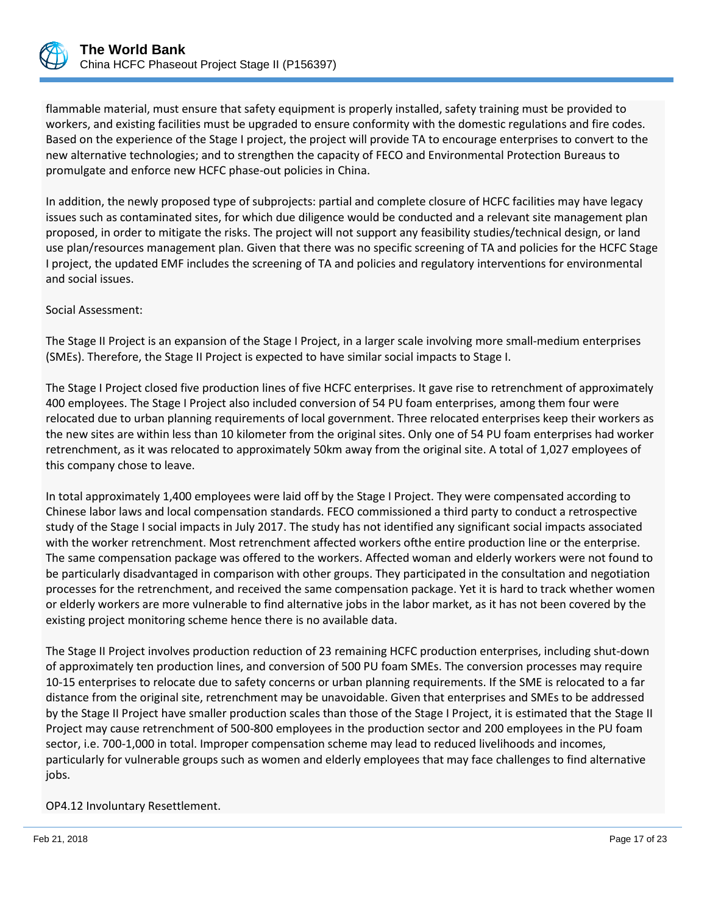

flammable material, must ensure that safety equipment is properly installed, safety training must be provided to workers, and existing facilities must be upgraded to ensure conformity with the domestic regulations and fire codes. Based on the experience of the Stage I project, the project will provide TA to encourage enterprises to convert to the new alternative technologies; and to strengthen the capacity of FECO and Environmental Protection Bureaus to promulgate and enforce new HCFC phase-out policies in China.

In addition, the newly proposed type of subprojects: partial and complete closure of HCFC facilities may have legacy issues such as contaminated sites, for which due diligence would be conducted and a relevant site management plan proposed, in order to mitigate the risks. The project will not support any feasibility studies/technical design, or land use plan/resources management plan. Given that there was no specific screening of TA and policies for the HCFC Stage I project, the updated EMF includes the screening of TA and policies and regulatory interventions for environmental and social issues.

#### Social Assessment:

The Stage II Project is an expansion of the Stage I Project, in a larger scale involving more small-medium enterprises (SMEs). Therefore, the Stage II Project is expected to have similar social impacts to Stage I.

The Stage I Project closed five production lines of five HCFC enterprises. It gave rise to retrenchment of approximately 400 employees. The Stage I Project also included conversion of 54 PU foam enterprises, among them four were relocated due to urban planning requirements of local government. Three relocated enterprises keep their workers as the new sites are within less than 10 kilometer from the original sites. Only one of 54 PU foam enterprises had worker retrenchment, as it was relocated to approximately 50km away from the original site. A total of 1,027 employees of this company chose to leave.

In total approximately 1,400 employees were laid off by the Stage I Project. They were compensated according to Chinese labor laws and local compensation standards. FECO commissioned a third party to conduct a retrospective study of the Stage I social impacts in July 2017. The study has not identified any significant social impacts associated with the worker retrenchment. Most retrenchment affected workers ofthe entire production line or the enterprise. The same compensation package was offered to the workers. Affected woman and elderly workers were not found to be particularly disadvantaged in comparison with other groups. They participated in the consultation and negotiation processes for the retrenchment, and received the same compensation package. Yet it is hard to track whether women or elderly workers are more vulnerable to find alternative jobs in the labor market, as it has not been covered by the existing project monitoring scheme hence there is no available data.

The Stage II Project involves production reduction of 23 remaining HCFC production enterprises, including shut-down of approximately ten production lines, and conversion of 500 PU foam SMEs. The conversion processes may require 10-15 enterprises to relocate due to safety concerns or urban planning requirements. If the SME is relocated to a far distance from the original site, retrenchment may be unavoidable. Given that enterprises and SMEs to be addressed by the Stage II Project have smaller production scales than those of the Stage I Project, it is estimated that the Stage II Project may cause retrenchment of 500-800 employees in the production sector and 200 employees in the PU foam sector, i.e. 700-1,000 in total. Improper compensation scheme may lead to reduced livelihoods and incomes, particularly for vulnerable groups such as women and elderly employees that may face challenges to find alternative jobs.

## OP4.12 Involuntary Resettlement.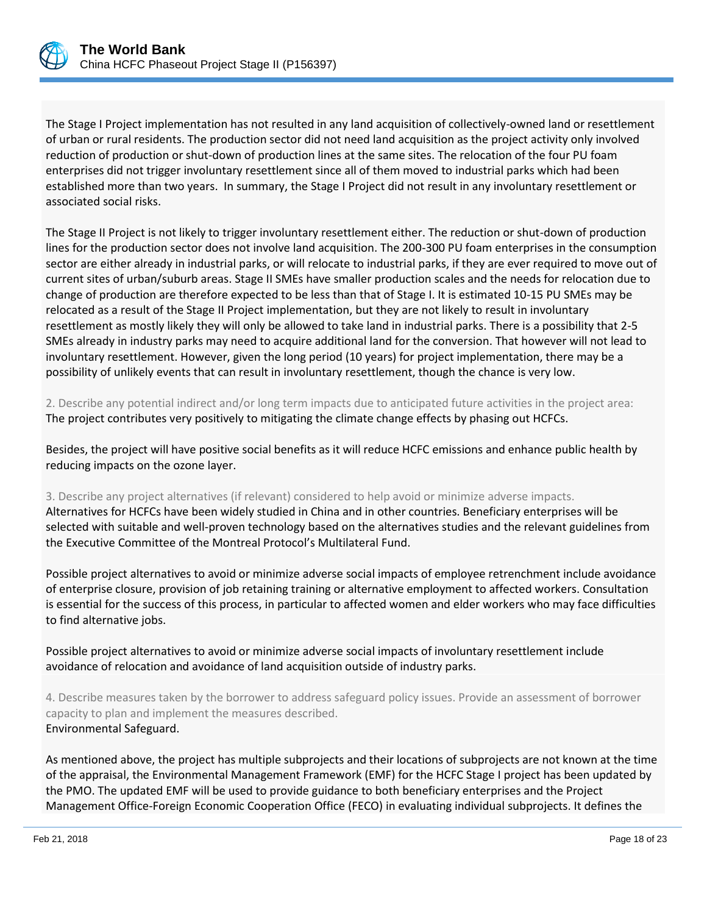

The Stage I Project implementation has not resulted in any land acquisition of collectively-owned land or resettlement of urban or rural residents. The production sector did not need land acquisition as the project activity only involved reduction of production or shut-down of production lines at the same sites. The relocation of the four PU foam enterprises did not trigger involuntary resettlement since all of them moved to industrial parks which had been established more than two years. In summary, the Stage I Project did not result in any involuntary resettlement or associated social risks.

The Stage II Project is not likely to trigger involuntary resettlement either. The reduction or shut-down of production lines for the production sector does not involve land acquisition. The 200-300 PU foam enterprises in the consumption sector are either already in industrial parks, or will relocate to industrial parks, if they are ever required to move out of current sites of urban/suburb areas. Stage II SMEs have smaller production scales and the needs for relocation due to change of production are therefore expected to be less than that of Stage I. It is estimated 10-15 PU SMEs may be relocated as a result of the Stage II Project implementation, but they are not likely to result in involuntary resettlement as mostly likely they will only be allowed to take land in industrial parks. There is a possibility that 2-5 SMEs already in industry parks may need to acquire additional land for the conversion. That however will not lead to involuntary resettlement. However, given the long period (10 years) for project implementation, there may be a possibility of unlikely events that can result in involuntary resettlement, though the chance is very low.

2. Describe any potential indirect and/or long term impacts due to anticipated future activities in the project area: The project contributes very positively to mitigating the climate change effects by phasing out HCFCs.

Besides, the project will have positive social benefits as it will reduce HCFC emissions and enhance public health by reducing impacts on the ozone layer.

3. Describe any project alternatives (if relevant) considered to help avoid or minimize adverse impacts. Alternatives for HCFCs have been widely studied in China and in other countries. Beneficiary enterprises will be selected with suitable and well-proven technology based on the alternatives studies and the relevant guidelines from the Executive Committee of the Montreal Protocol's Multilateral Fund.

Possible project alternatives to avoid or minimize adverse social impacts of employee retrenchment include avoidance of enterprise closure, provision of job retaining training or alternative employment to affected workers. Consultation is essential for the success of this process, in particular to affected women and elder workers who may face difficulties to find alternative jobs.

Possible project alternatives to avoid or minimize adverse social impacts of involuntary resettlement include avoidance of relocation and avoidance of land acquisition outside of industry parks.

4. Describe measures taken by the borrower to address safeguard policy issues. Provide an assessment of borrower capacity to plan and implement the measures described. Environmental Safeguard.

As mentioned above, the project has multiple subprojects and their locations of subprojects are not known at the time of the appraisal, the Environmental Management Framework (EMF) for the HCFC Stage I project has been updated by the PMO. The updated EMF will be used to provide guidance to both beneficiary enterprises and the Project Management Office-Foreign Economic Cooperation Office (FECO) in evaluating individual subprojects. It defines the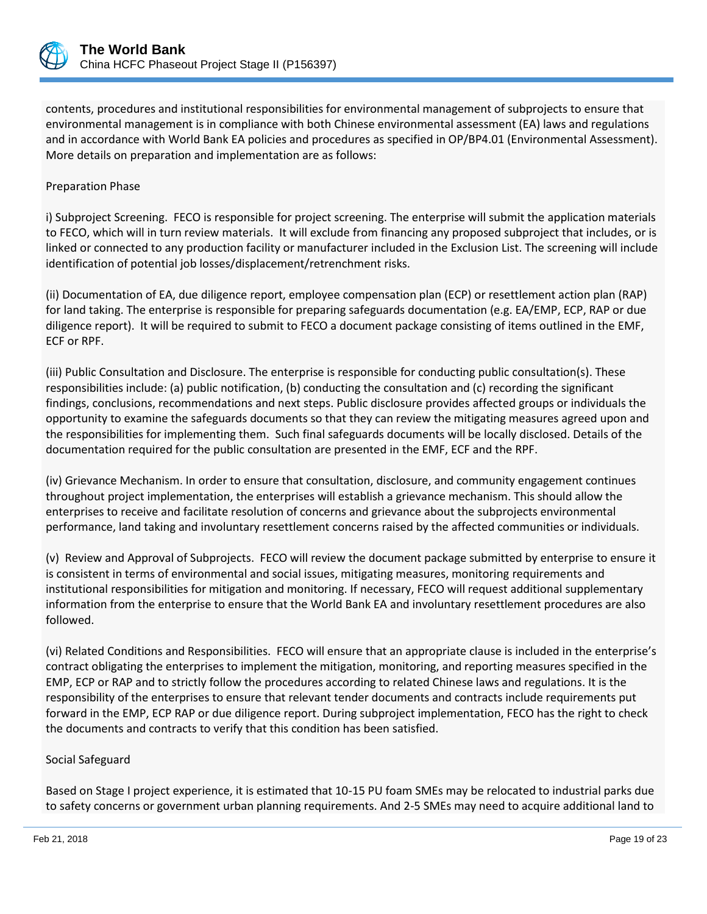

contents, procedures and institutional responsibilities for environmental management of subprojects to ensure that environmental management is in compliance with both Chinese environmental assessment (EA) laws and regulations and in accordance with World Bank EA policies and procedures as specified in OP/BP4.01 (Environmental Assessment). More details on preparation and implementation are as follows:

#### Preparation Phase

i) Subproject Screening. FECO is responsible for project screening. The enterprise will submit the application materials to FECO, which will in turn review materials. It will exclude from financing any proposed subproject that includes, or is linked or connected to any production facility or manufacturer included in the Exclusion List. The screening will include identification of potential job losses/displacement/retrenchment risks.

(ii) Documentation of EA, due diligence report, employee compensation plan (ECP) or resettlement action plan (RAP) for land taking. The enterprise is responsible for preparing safeguards documentation (e.g. EA/EMP, ECP, RAP or due diligence report). It will be required to submit to FECO a document package consisting of items outlined in the EMF, ECF or RPF.

(iii) Public Consultation and Disclosure. The enterprise is responsible for conducting public consultation(s). These responsibilities include: (a) public notification, (b) conducting the consultation and (c) recording the significant findings, conclusions, recommendations and next steps. Public disclosure provides affected groups or individuals the opportunity to examine the safeguards documents so that they can review the mitigating measures agreed upon and the responsibilities for implementing them. Such final safeguards documents will be locally disclosed. Details of the documentation required for the public consultation are presented in the EMF, ECF and the RPF.

(iv) Grievance Mechanism. In order to ensure that consultation, disclosure, and community engagement continues throughout project implementation, the enterprises will establish a grievance mechanism. This should allow the enterprises to receive and facilitate resolution of concerns and grievance about the subprojects environmental performance, land taking and involuntary resettlement concerns raised by the affected communities or individuals.

(v) Review and Approval of Subprojects. FECO will review the document package submitted by enterprise to ensure it is consistent in terms of environmental and social issues, mitigating measures, monitoring requirements and institutional responsibilities for mitigation and monitoring. If necessary, FECO will request additional supplementary information from the enterprise to ensure that the World Bank EA and involuntary resettlement procedures are also followed.

(vi) Related Conditions and Responsibilities. FECO will ensure that an appropriate clause is included in the enterprise's contract obligating the enterprises to implement the mitigation, monitoring, and reporting measures specified in the EMP, ECP or RAP and to strictly follow the procedures according to related Chinese laws and regulations. It is the responsibility of the enterprises to ensure that relevant tender documents and contracts include requirements put forward in the EMP, ECP RAP or due diligence report. During subproject implementation, FECO has the right to check the documents and contracts to verify that this condition has been satisfied.

#### Social Safeguard

Based on Stage I project experience, it is estimated that 10-15 PU foam SMEs may be relocated to industrial parks due to safety concerns or government urban planning requirements. And 2-5 SMEs may need to acquire additional land to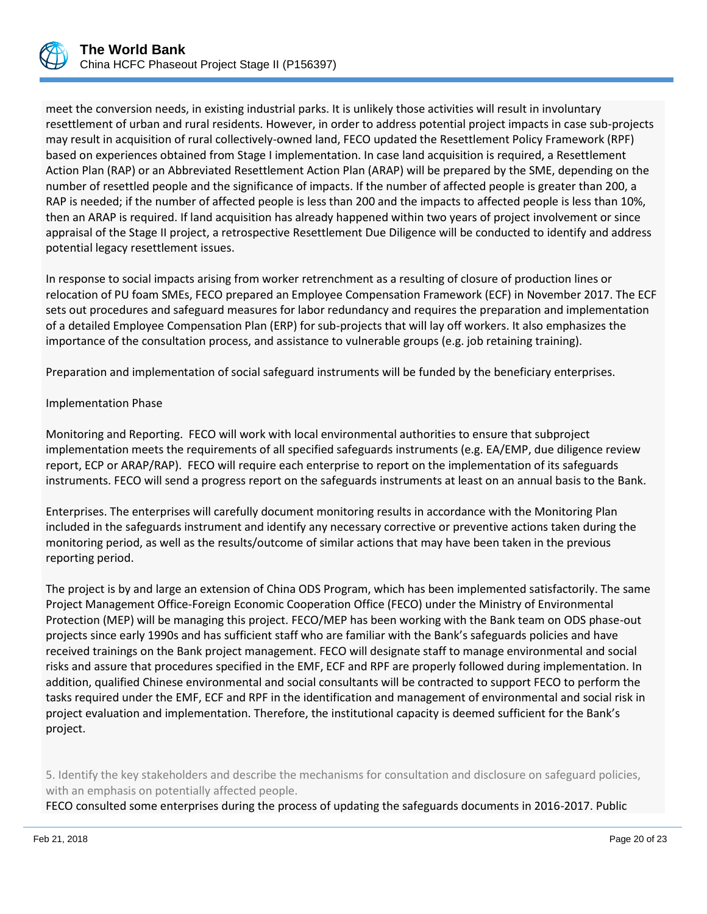

meet the conversion needs, in existing industrial parks. It is unlikely those activities will result in involuntary resettlement of urban and rural residents. However, in order to address potential project impacts in case sub-projects may result in acquisition of rural collectively-owned land, FECO updated the Resettlement Policy Framework (RPF) based on experiences obtained from Stage I implementation. In case land acquisition is required, a Resettlement Action Plan (RAP) or an Abbreviated Resettlement Action Plan (ARAP) will be prepared by the SME, depending on the number of resettled people and the significance of impacts. If the number of affected people is greater than 200, a RAP is needed; if the number of affected people is less than 200 and the impacts to affected people is less than 10%, then an ARAP is required. If land acquisition has already happened within two years of project involvement or since appraisal of the Stage II project, a retrospective Resettlement Due Diligence will be conducted to identify and address potential legacy resettlement issues.

In response to social impacts arising from worker retrenchment as a resulting of closure of production lines or relocation of PU foam SMEs, FECO prepared an Employee Compensation Framework (ECF) in November 2017. The ECF sets out procedures and safeguard measures for labor redundancy and requires the preparation and implementation of a detailed Employee Compensation Plan (ERP) for sub-projects that will lay off workers. It also emphasizes the importance of the consultation process, and assistance to vulnerable groups (e.g. job retaining training).

Preparation and implementation of social safeguard instruments will be funded by the beneficiary enterprises.

## Implementation Phase

Monitoring and Reporting. FECO will work with local environmental authorities to ensure that subproject implementation meets the requirements of all specified safeguards instruments (e.g. EA/EMP, due diligence review report, ECP or ARAP/RAP). FECO will require each enterprise to report on the implementation of its safeguards instruments. FECO will send a progress report on the safeguards instruments at least on an annual basis to the Bank.

Enterprises. The enterprises will carefully document monitoring results in accordance with the Monitoring Plan included in the safeguards instrument and identify any necessary corrective or preventive actions taken during the monitoring period, as well as the results/outcome of similar actions that may have been taken in the previous reporting period.

The project is by and large an extension of China ODS Program, which has been implemented satisfactorily. The same Project Management Office-Foreign Economic Cooperation Office (FECO) under the Ministry of Environmental Protection (MEP) will be managing this project. FECO/MEP has been working with the Bank team on ODS phase-out projects since early 1990s and has sufficient staff who are familiar with the Bank's safeguards policies and have received trainings on the Bank project management. FECO will designate staff to manage environmental and social risks and assure that procedures specified in the EMF, ECF and RPF are properly followed during implementation. In addition, qualified Chinese environmental and social consultants will be contracted to support FECO to perform the tasks required under the EMF, ECF and RPF in the identification and management of environmental and social risk in project evaluation and implementation. Therefore, the institutional capacity is deemed sufficient for the Bank's project.

5. Identify the key stakeholders and describe the mechanisms for consultation and disclosure on safeguard policies, with an emphasis on potentially affected people.

FECO consulted some enterprises during the process of updating the safeguards documents in 2016-2017. Public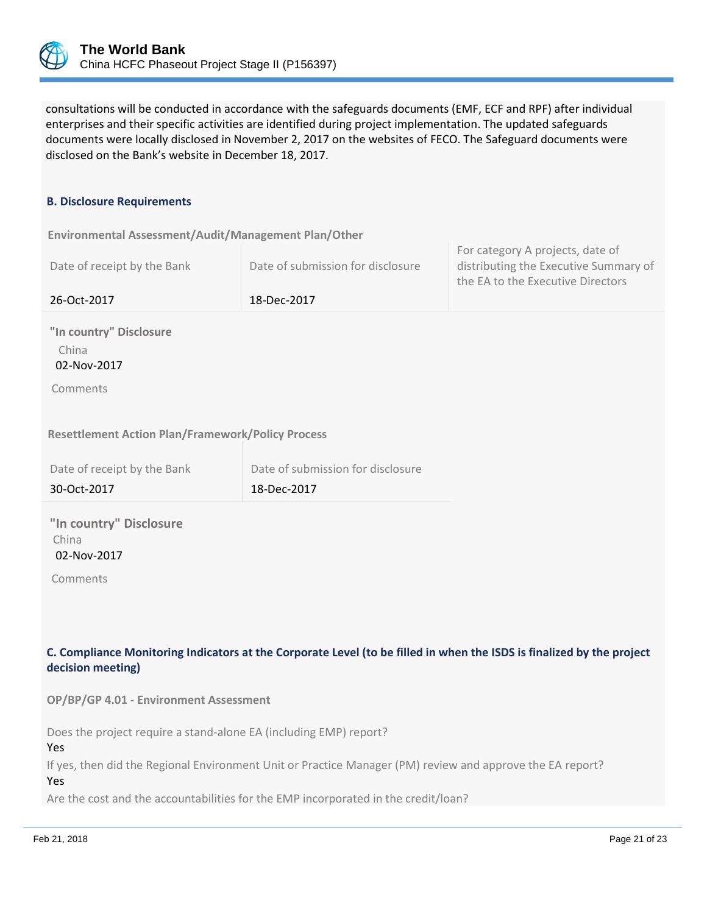

consultations will be conducted in accordance with the safeguards documents (EMF, ECF and RPF) after individual enterprises and their specific activities are identified during project implementation. The updated safeguards documents were locally disclosed in November 2, 2017 on the websites of FECO. The Safeguard documents were disclosed on the Bank's website in December 18, 2017.

#### **B. Disclosure Requirements**

**Environmental Assessment/Audit/Management Plan/Other** 

| Date of receipt by the Bank | Date of submission for disclosure | For category A projects, date of<br>distributing the Executive Summary of<br>the EA to the Executive Directors |
|-----------------------------|-----------------------------------|----------------------------------------------------------------------------------------------------------------|
| 26-Oct-2017                 | 18-Dec-2017                       |                                                                                                                |

**"In country" Disclosure** China 02-Nov-2017

Comments

#### **Resettlement Action Plan/Framework/Policy Process**

| Date of receipt by the Bank | Date of submission for disclosure |
|-----------------------------|-----------------------------------|
| 30-Oct-2017                 | 18-Dec-2017                       |

**"In country" Disclosure** China 02-Nov-2017

Comments

# **C. Compliance Monitoring Indicators at the Corporate Level (to be filled in when the ISDS is finalized by the project decision meeting)**

**OP/BP/GP 4.01 - Environment Assessment** 

Does the project require a stand-alone EA (including EMP) report?

Yes

If yes, then did the Regional Environment Unit or Practice Manager (PM) review and approve the EA report? Yes

Are the cost and the accountabilities for the EMP incorporated in the credit/loan?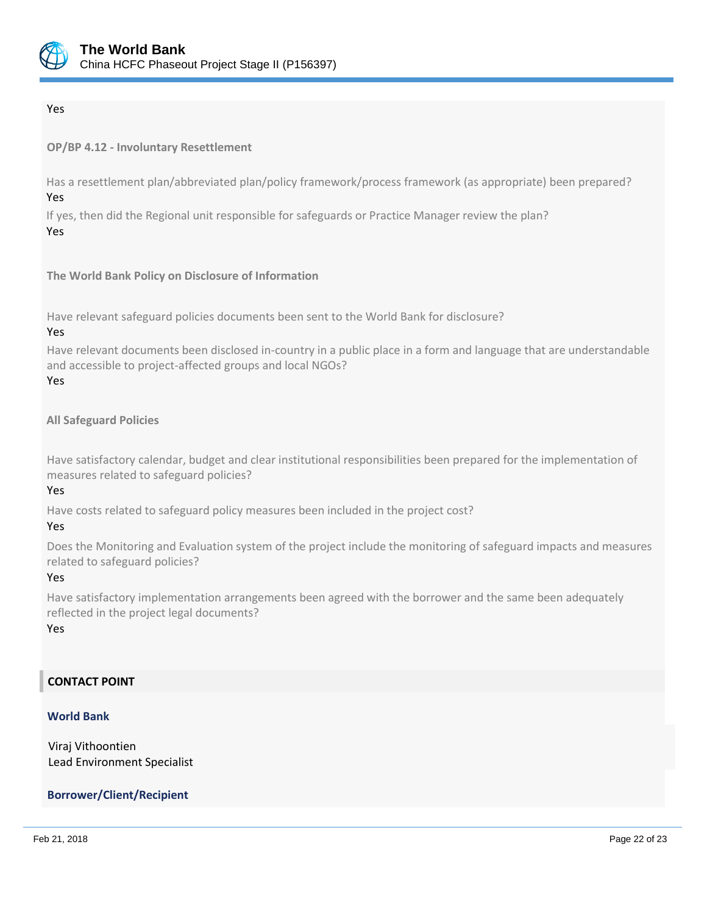

## Yes

**OP/BP 4.12 - Involuntary Resettlement**

Has a resettlement plan/abbreviated plan/policy framework/process framework (as appropriate) been prepared? Yes

If yes, then did the Regional unit responsible for safeguards or Practice Manager review the plan? Yes

**The World Bank Policy on Disclosure of Information**

Have relevant safeguard policies documents been sent to the World Bank for disclosure?

#### Yes

Have relevant documents been disclosed in-country in a public place in a form and language that are understandable and accessible to project-affected groups and local NGOs?

#### Yes

#### **All Safeguard Policies**

Have satisfactory calendar, budget and clear institutional responsibilities been prepared for the implementation of measures related to safeguard policies?

## Yes

Have costs related to safeguard policy measures been included in the project cost?

#### Yes

Does the Monitoring and Evaluation system of the project include the monitoring of safeguard impacts and measures related to safeguard policies?

#### Yes

Have satisfactory implementation arrangements been agreed with the borrower and the same been adequately reflected in the project legal documents?

## Yes

## **CONTACT POINT**

#### **World Bank**

Viraj Vithoontien Lead Environment Specialist

## **Borrower/Client/Recipient**